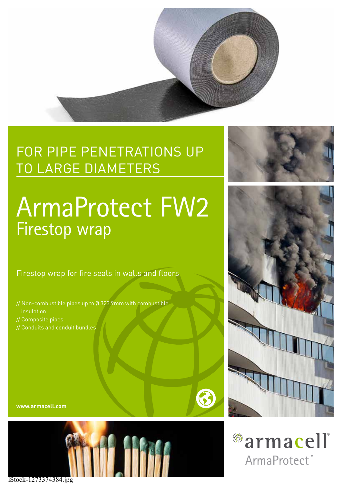

# FOR PIPE PENETRATIONS UP TO LARGE DIAMETERS

# ArmaProtect FW2 Firestop wrap

Firestop wrap for fire seals in walls and floors

- // Non-combustible pipes up to Ø 323.9mm with combustible insulation // Composite pipes
- // Conduits and conduit bundles

**www.armacell.com**









iStock-1273374384.jpg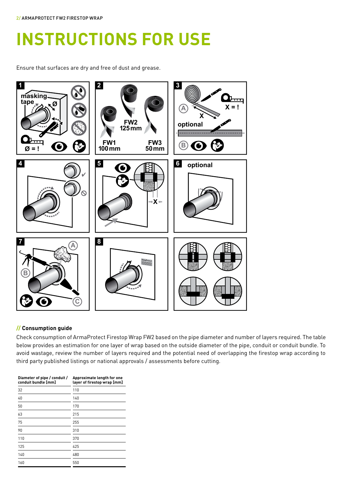# **INSTRUCTIONS FOR USE**

Ensure that surfaces are dry and free of dust and grease.



# **// Consumption guide**

Check consumption of ArmaProtect Firestop Wrap FW2 based on the pipe diameter and number of layers required. The table below provides an estimation for one layer of wrap based on the outside diameter of the pipe, conduit or conduit bundle. To avoid wastage, review the number of layers required and the potential need of overlapping the firestop wrap according to third party published listings or national approvals / assessments before cutting.

| Diameter of pipe / conduit /<br>conduit bundle [mm] | Approximate length for one<br>layer of firestop wrap [mm] |
|-----------------------------------------------------|-----------------------------------------------------------|
| 32                                                  | 110                                                       |
| 40                                                  | 140                                                       |
| 50                                                  | 170                                                       |
| 63                                                  | 215                                                       |
| 75                                                  | 255                                                       |
| 90                                                  | 310                                                       |
| 110                                                 | 370                                                       |
| 125                                                 | 425                                                       |
| 140                                                 | 480                                                       |
| 160                                                 | 550                                                       |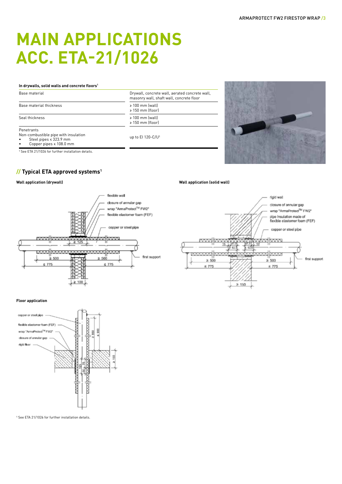# **MAIN APPLICATIONS ACC. ETA-21/1026**

#### **In drywalls, solid walls and concrete floors1**

Penetrants

Non-combustible pipe with insulation

• Steel pipes ≤ 323.9 mm

• Copper pipes ≤ 108.0 mm

<sup>1</sup> See ETA 21/1026 for further installation details.

# **// Typical ETA approved systems1**

#### **Wall application (drywall)**





up to EI 120-C/U<sup>1</sup>



#### **Wall application (solid wall)**



#### **Floor application**



<sup>1</sup> See ETA 21/1026 for further installation details.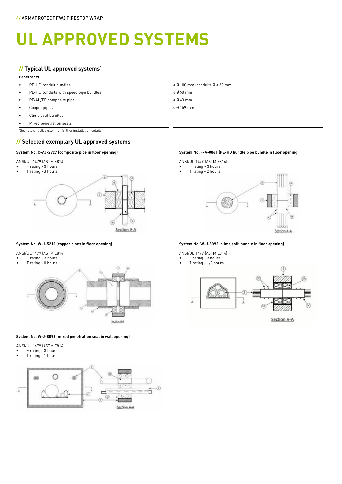# **UL APPROVED SYSTEMS**

## **// Typical UL approved systems1**

#### **Penetrants**

- 
- PE-HD conduits with speed pipe bundles < Ø 50 mm
- $PE/AL/PE$  composite pipe  $\leq$  0.63 mm
- Copper pipes ≤ Ø 159 mm
- Clima split bundles
- Mixed penetration seals

1 See relevant UL system for further installation details.

## **// Selected exemplary UL approved systems**

#### **System No. C-AJ-2927 (composite pipe in floor opening)**

ANSI/UL 1479 (ASTM E814)

• F rating - 3 hours



#### **System No. W-J-5210 (copper pipes in floor opening)**

ANSI/UL 1479 (ASTM E814)

- F rating 3 hours
- T rating 0 hours



#### **System No. W-J-8093 (mixed penetration seal in wall opening)**

ANSI/UL 1479 (ASTM E814)

- F rating 3 hours
- T rating 1 hour



• PE-HD conduit bundles  $\leq \emptyset$  100 mm (conduits  $\emptyset \leq 32$  mm)

- 
- 
- 

#### **System No. F-A-8061 (PE-HD bundle pipe bundle in floor opening)**

## ANSI/UL 1479 (ASTM E814)

• F rating - 3 hours



#### **System No. W-J-8092 (clima split bundle in floor opening)**

ANSI/UL 1479 (ASTM E814)

- F rating 3 hours
- T rating 1/2 hours

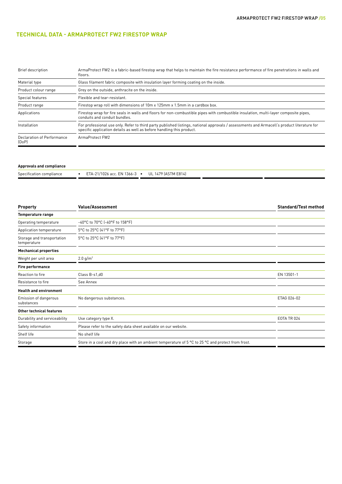### **TECHNICAL DATA - ARMAPROTECT FW2 FIRESTOP WRAP**

| Brief description                                                                                                                                                                                                                   | ArmaProtect FW2 is a fabric-based firestop wrap that helps to maintain the fire resistance performance of fire penetrations in walls and<br>floors.                   |  |  |
|-------------------------------------------------------------------------------------------------------------------------------------------------------------------------------------------------------------------------------------|-----------------------------------------------------------------------------------------------------------------------------------------------------------------------|--|--|
| Glass filament fabric composite with insulation layer forming coating on the inside.<br>Material type                                                                                                                               |                                                                                                                                                                       |  |  |
| Product colour range                                                                                                                                                                                                                | Grey on the outside, anthracite on the inside.                                                                                                                        |  |  |
| Special features                                                                                                                                                                                                                    | Flexible and tear-resistant.                                                                                                                                          |  |  |
| Product range                                                                                                                                                                                                                       | Firestop wrap roll with dimensions of 10m x 125mm x 1.5mm in a cardbox box.                                                                                           |  |  |
| Applications                                                                                                                                                                                                                        | Firestop wrap for fire seals in walls and floors for non-combustible pipes with combustible insulation, multi-layer composite pipes,<br>conduits and conduit bundles. |  |  |
| For professional use only. Refer to third party published listings, national approvals / assessments and Armacell's product literature for<br>Installation<br>specific application details as well as before handling this product. |                                                                                                                                                                       |  |  |
| Declaration of Performance<br>(DoP)                                                                                                                                                                                                 | ArmaProtect FW2                                                                                                                                                       |  |  |

| <b>Approvals and compliance</b> |                                                  |  |  |  |
|---------------------------------|--------------------------------------------------|--|--|--|
| Specification compliance        | ETA-21/1026 acc. EN 1366-3 • UL 1479 (ASTM E814) |  |  |  |

| <b>Property</b>                           | <b>Value/Assessment</b>                                                                            | <b>Standard/Test method</b> |
|-------------------------------------------|----------------------------------------------------------------------------------------------------|-----------------------------|
| <b>Temperature range</b>                  |                                                                                                    |                             |
| Operating temperature                     | -40°C to 70°C (-40°F to 158°F)                                                                     |                             |
| Application temperature                   | 5°C to 25°C (41°F to 77°F)                                                                         |                             |
| Storage and transportation<br>temperature | 5°C to 25°C (41°F to 77°F)                                                                         |                             |
| <b>Mechanical properties</b>              |                                                                                                    |                             |
| Weight per unit area                      | 2.0 g/m <sup>2</sup>                                                                               |                             |
| <b>Fire performance</b>                   |                                                                                                    |                             |
| Reaction to fire                          | Class B-s1,d0                                                                                      | EN 13501-1                  |
| Resistance to fire                        | See Annex                                                                                          |                             |
| <b>Health and environment</b>             |                                                                                                    |                             |
| Emission of dangerous<br>substances       | No dangerous substances.                                                                           | ETAG 026-02                 |
| <b>Other technical features</b>           |                                                                                                    |                             |
| Durability and serviceability             | Use category type X.                                                                               | EOTA TR 024                 |
| Safety information                        | Please refer to the safety data sheet available on our website.                                    |                             |
| Shelf life                                | No shelf life                                                                                      |                             |
| Storage                                   | Store in a cool and dry place with an ambient temperature of 5 °C to 25 °C and protect from frost. |                             |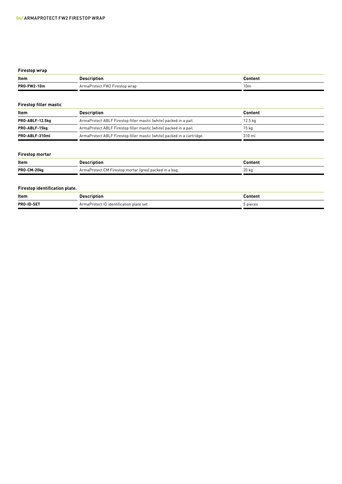### **Firestop wrap**

| Item                                                                                                                              |                  | $\blacksquare$ |
|-----------------------------------------------------------------------------------------------------------------------------------|------------------|----------------|
| PRO-FW2<br>10m<br>the contract of the contract of the contract of the contract of the contract of the contract of the contract of | $-100$<br>⇒ wran | 10m            |

#### **Firestop filler mastic**

| Item                                                                                 | Description                                                            | Content   |  |
|--------------------------------------------------------------------------------------|------------------------------------------------------------------------|-----------|--|
| ArmaProtect ABLF Firestop filler mastic (white) packed in a pail.<br>PRO-ABLF-12.5kg |                                                                        | $12.5$ kg |  |
| ArmaProtect ABLF Firestop filler mastic (white) packed in a pail.<br>PRO-ABLF-15kg   |                                                                        | 15 ka     |  |
| PRO-ABLF-310ml                                                                       | ArmaProtect ABLF Firestop filler mastic (white) packed in a cartridge. | 310 ml    |  |

### **Firestop mortar**

| Item        | escription                                                    | <b>Conten</b> . |
|-------------|---------------------------------------------------------------|-----------------|
| PRO-CM-20kg | ArmaProtect CM Firestop mortar (grey) packed in a bag.<br>uy. | 20 kg           |

#### **Firestop identification plate.**

| Item                                                                                                 |                                               | `ont.<br>tenr |
|------------------------------------------------------------------------------------------------------|-----------------------------------------------|---------------|
| <b>PRO-ID-SET</b><br>the contract of the contract of the contract of the contract of the contract of | ' identification plate set<br><b>nno</b><br>. | pieces<br>.   |